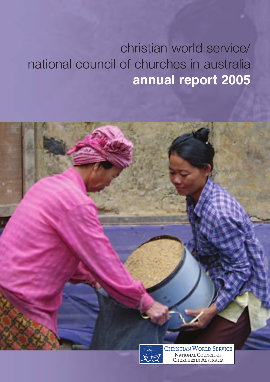# christian world service/ national council of churches in australia **annual report 2005**



**CHRISTIAN WORLD SERVICE** NATIONAL COUNCIL OF CHURCHES IN AUSTRALIA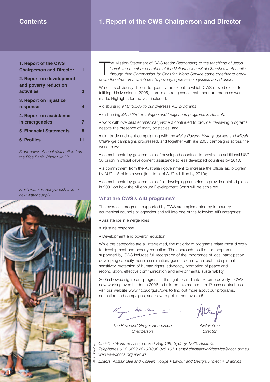# **Contents 1. Report of the CWS Chairperson and Director**

**1. Report of the CWS Chairperson and Director 1 2. Report on development and poverty reduction activities 2 3. Report on injustice response 4 4. Report on assistance in emergencies 7 5. Financial Statements 8 6. Profiles 11**

*Front cover: Annual distribution from the Rice Bank. Photo: Jo Lin* 

*Fresh water in Bangladesh from a new water supply* 



The Mission Statement of CWS reads: Responding to the teachings of Christ, the member churches of the National Council of Churches in A through their Commission for Christian World Service come together to down the structu he Mission Statement of CWS reads: *Responding to the teachings of Jesus Christ, the member churches of the National Council of Churches in Australia, through their Commission for Christian World Service come together to break*

While it is obviously difficult to quantify the extent to which CWS moved closer to fulfilling this Mission in 2005, there is a strong sense that important progress was made. Highlights for the year included:

- disbursing *\$4,046,505 to our overseas AID programs*;
- disbursing *\$479,226 on refugee and Indigenous programs in Australia*;

• work with *overseas ecumenical partners* continued to provide life-saving programs despite the presence of many obstacles; and

• aid, trade and debt campaigning with the *Make Poverty History, Jubilee* and *Micah Challenge* campaigns progressed, and together with like 2005 campaigns across the world, saw:

• commitments by governments of developed countries to provide an additional USD 50 billion in official development assistance to less developed countries by 2010;

• a commitment from the Australian government to increase the official aid program by AUD 1.5 billion a year (to a total of AUD 4 billion by 2010);

• commitments by governments of all developing countries to provide detailed plans in 2006 on how the Millennium Development Goals will be achieved.

#### **What are CWS's AID programs?**

The overseas programs supported by CWS are implemented by in-country ecumenical councils or agencies and fall into one of the following AID categories:

- Assistance in emergencies
- Injustice response
- Development and poverty reduction

While the categories are all interrelated, the majority of programs relate most directly to development and poverty reduction. The approach to all of the programs supported by CWS includes full recognition of the importance of local participation, developing capacity, non-discrimination, gender equality, cultural and spiritual sensitivity, protection of human rights, advocacy, promotion of peace and reconciliation, effective communication and environmental sustainability.

2005 showed significant progress in the fight to eradicate extreme poverty – CWS is now working even harder in 2006 to build on this momentum. Please contact us or visit our website www.ncca.org.au/cws to find out more about our programs, education and campaigns, and how to get further involved!

Brya Heden

*The Reverend Gregor Henderson Alistair Gee Chairperson Director* 

Alte fu

*Christian World Service, Locked Bag 199, Sydney 1230, Australia Telephones 61 2 9299 2216/1800 025 101 • email christianworldservice@ncca.org.au web www.ncca.org.au/cws*

*Editors: Alistair Gee and Colleen Hodge • Layout and Design: Project X Graphics*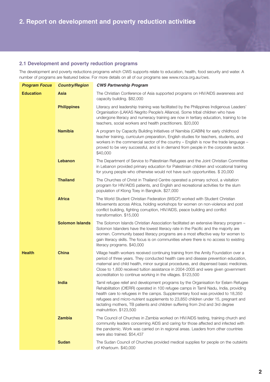# **2.1 Development and poverty reduction programs**

The development and poverty reductions programs which CWS supports relate to education, health, food security and water. A number of programs are featured below. For more details on all of our programs see www.ncca.org.au/cws.

| <b>Program Focus</b> | <b>Country/Region</b>  | <b>CWS Partnership Program</b>                                                                                                                                                                                                                                                                                                                                                                                                                                  |  |  |
|----------------------|------------------------|-----------------------------------------------------------------------------------------------------------------------------------------------------------------------------------------------------------------------------------------------------------------------------------------------------------------------------------------------------------------------------------------------------------------------------------------------------------------|--|--|
| <b>Education</b>     | Asia                   | The Christian Conference of Asia supported programs on HIV/AIDS awareness and<br>capacity building. \$82,000                                                                                                                                                                                                                                                                                                                                                    |  |  |
|                      | <b>Philippines</b>     | Literacy and leadership training was facilitated by the Philippines Indigenous Leaders'<br>Organisation (LAKAS Negrito People's Alliance). Some tribal children who have<br>undergone literacy and numeracy training are now in tertiary education, training to be<br>teachers, social workers and health practitioners. \$20,000                                                                                                                               |  |  |
|                      | <b>Namibia</b>         | A program by Capacity Building Initiatives of Namibia (CABIN) for early childhood<br>teacher training, curriculum preparation, English studies for teachers, students, and<br>workers in the commercial sector of the country - English is now the trade language -<br>proved to be very successful, and is in demand from people in the corporate sector.<br>\$40,000                                                                                          |  |  |
|                      | Lebanon                | The Department of Service to Palestinian Refugees and the Joint Christian Committee<br>in Lebanon provided primary education for Palestinian children and vocational training<br>for young people who otherwise would not have such opportunities. \$20,000                                                                                                                                                                                                     |  |  |
|                      | <b>Thailand</b>        | The Churches of Christ in Thailand Centre operated a primary school, a visitation<br>program for HIV/AIDS patients, and English and recreational activities for the slum<br>population of Klong Toey in Bangkok. \$27,000                                                                                                                                                                                                                                       |  |  |
|                      | <b>Africa</b>          | The World Student Christian Federation (WSCF) worked with Student Christian<br>Movements across Africa, holding workshops for women on non-violence and post<br>conflict building, fighting corruption, HIV/AIDS, peace building and conflict<br>transformation. \$15,000                                                                                                                                                                                       |  |  |
|                      | <b>Solomon Islands</b> | The Solomon Islands Christian Association facilitated an extensive literacy program -<br>Solomon Islanders have the lowest literacy rate in the Pacific and the majority are<br>women. Community based literacy programs are a most effective way for women to<br>gain literacy skills. The focus is on communities where there is no access to existing<br>literacy programs. \$40,000                                                                         |  |  |
| <b>Health</b>        | <b>China</b>           | Village health workers received continuing training from the Amity Foundation over a<br>period of three years. They conducted health care and disease prevention education,<br>maternal and child health, minor surgical procedures, and dispensed basic medicines.<br>Close to 1,600 received tuition assistance in 2004-2005 and were given government<br>accreditation to continue working in the villages. \$123,500                                        |  |  |
|                      | <b>India</b>           | Tamil refugee relief and development programs by the Organisation for Eelam Refugee<br>Rehabilitation (OfERR) operated in 100 refugee camps in Tamil Nadu, India, providing<br>health care to refugees in the camps. Supplementary food was provided to 18,350<br>refugees and micro-nutrient supplements to 23,850 children under 15, pregnant and<br>lactating mothers, TB patients and children suffering from 2nd and 3rd degree<br>malnutrition. \$123,500 |  |  |
|                      | Zambia                 | The Council of Churches in Zambia worked on HIV/AIDS testing, training church and<br>community leaders concerning AIDS and caring for those affected and infected with<br>the pandemic. Work was carried on in regional areas. Leaders from other countries<br>were also trained. \$54,437                                                                                                                                                                      |  |  |
|                      | <b>Sudan</b>           | The Sudan Council of Churches provided medical supplies for people on the outskirts<br>of Khartoum. \$40,000                                                                                                                                                                                                                                                                                                                                                    |  |  |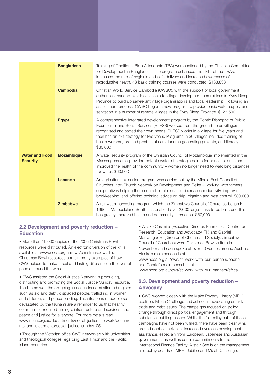|                                          | <b>Bangladesh</b> | Training of Traditional Birth Attendants (TBA) was continued by the Christian Committee<br>for Development in Bangladesh. The program enhanced the skills of the TBAs,<br>increased the rate of hygienic and safe delivery and increased awareness of<br>reproductive health. 48 basic training courses were conducted. \$133,833                                                                                                                  |
|------------------------------------------|-------------------|----------------------------------------------------------------------------------------------------------------------------------------------------------------------------------------------------------------------------------------------------------------------------------------------------------------------------------------------------------------------------------------------------------------------------------------------------|
|                                          | <b>Cambodia</b>   | Christian World Service Cambodia (CWSC), with the support of local government<br>authorities, handed over local assets to village development committees in Svay Rieng<br>Province to build up self-reliant village organisations and local leadership. Following an<br>assessment process, CWSC began a new program to provide basic water supply and<br>sanitation in a number of remote villages in the Svay Rieng Province. \$123,500          |
|                                          | <b>Egypt</b>      | A comprehensive integrated development program by the Coptic Bishopric of Public<br>Ecumenical and Social Services (BLESS) worked from the ground up as villagers<br>recognised and stated their own needs. BLESS works in a village for five years and<br>then has an exit strategy for two years. Programs in 30 villages included training of<br>health workers, pre and post natal care, income generating projects, and literacy.<br>\$80,000 |
| <b>Water and Food</b><br><b>Security</b> | <b>Mozambique</b> | A water security program of the Christian Council of Mozambique implemented in the<br>Massengena area provided potable water at strategic points for household use and<br>improved the health of the community – women no longer need to walk long distances<br>for water. \$60,000                                                                                                                                                                |
|                                          | Lebanon           | An agricultural extension program was carried out by the Middle East Council of<br>Churches Inter-Church Network on Development and Relief - working with farmers'<br>cooperatives helping them control plant diseases, increase productivity, improve<br>bookkeeping, and offering technical advice on drip irrigation and pest control. \$30,000                                                                                                 |
|                                          | <b>Zimbabwe</b>   | A rainwater harvesting program which the Zimbabwe Council of Churches began in<br>1996 in Matebeleland South has enabled over 2,000 large tanks to be built, and this<br>has greatly improved health and community interaction. \$80,000                                                                                                                                                                                                           |

#### **2.2 Development and poverty reduction – Education**

• More than 10,000 copies of the 2005 Christmas Bowl resources were distributed. An electronic version of the kit is available at www.ncca.org.au/cws/christmasbowl. The Christmas Bowl resources contain many examples of how CWS helped to make a real and lasting difference in the lives of people around the world.

• CWS assisted the Social Justice Network in producing, distributing and promoting the Social Justice Sunday resource. The theme was the on-going issues in tsunami affected regions such as aid and debt, displaced people, trafficking in women and children, and peace-building. The situations of people so devastated by the tsunami are a reminder to us that healthy communities require buildings, infrastructure and services, and peace and justice for everyone. For more details read www.ncca.org.au/departments/social\_justice\_network/docume nts\_and\_statements/social\_iustice\_sunday\_05

• Through the Victorian office CWS networked with universities and theological colleges regarding East Timor and the Pacific Island countries.

• Aisake Casimira (Executive Director, Ecumenical Centre for Research, Education and Advocacy, Fiji) and Gabriel Manyangadze (Director of Church and Society, Zimbabwe Council of Churches) were Christmas Bowl visitors in November and each spoke at over 20 venues around Australia. Aisake's main speech is at

www.ncca.org.au/cws/at\_work\_with\_our\_partners/pacific and Gabriel's main speech is at

www.ncca.org.au/cws/at\_work\_with\_our\_partners/africa.

### **2.3. Development and poverty reduction – Advocacy**

• CWS worked closely with the Make Poverty History (MPH) coalition, Micah Challenge and Jubilee in advocating on aid, trade and debt issues. The campaigns focused on policy change through direct political engagement and through substantial public pressure. Whilst the full policy calls of these campaigns have not been fulfilled, there have been clear wins around debt cancellation, increased overseas development assistance, especially from European, Japanese and Australian governments, as well as certain commitments to the International Finance Facility. Alistair Gee is on the management and policy boards of MPH, Jubilee and Micah Challenge.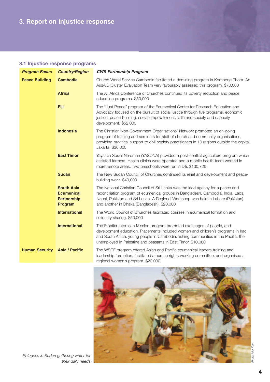# **3.1 Injustice response programs**

| <b>Program Focus</b>  | <b>Country/Region</b>                                                   | <b>CWS Partnership Program</b>                                                                                                                                                                                                                                                                                       |  |  |  |
|-----------------------|-------------------------------------------------------------------------|----------------------------------------------------------------------------------------------------------------------------------------------------------------------------------------------------------------------------------------------------------------------------------------------------------------------|--|--|--|
| <b>Peace Building</b> | <b>Cambodia</b>                                                         | Church World Service Cambodia facilitated a demining program in Kompong Thom. An<br>AusAID Cluster Evaluation Team very favourably assessed this program. \$70,000                                                                                                                                                   |  |  |  |
|                       | <b>Africa</b>                                                           | The All Africa Conference of Churches continued its poverty reduction and peace<br>education programs. \$50,000                                                                                                                                                                                                      |  |  |  |
|                       | Fiji                                                                    | The "Just Peace" program of the Ecumenical Centre for Research Education and<br>Advocacy focused on the pursuit of social justice through five programs, economic<br>justice, peace-building, social empowerment, faith and society and capacity<br>development. \$52,000                                            |  |  |  |
|                       | <b>Indonesia</b>                                                        | The Christian Non-Government Organisations' Network promoted an on-going<br>program of training and seminars for staff of church and community organisations,<br>providing practical support to civil society practitioners in 10 regions outside the capital,<br>Jakarta. \$30,000                                  |  |  |  |
|                       | <b>East Timor</b>                                                       | Yayasan Sosial Naroman (YASONA) provided a post-conflict agriculture program which<br>assisted farmers. Health clinics were operated and a mobile health team worked in<br>more remote areas. Two preschools were run in Dili. \$130,726                                                                             |  |  |  |
|                       | <b>Sudan</b>                                                            | The New Sudan Council of Churches continued its relief and development and peace-<br>building work. \$40,000                                                                                                                                                                                                         |  |  |  |
|                       | <b>South Asia</b><br><b>Ecumenical</b><br><b>Partnership</b><br>Program | The National Christian Council of Sri Lanka was the lead agency for a peace and<br>reconciliation program of ecumenical groups in Bangladesh, Cambodia, India, Laos,<br>Nepal, Pakistan and Sri Lanka. A Regional Workshop was held in Lahore (Pakistan)<br>and another in Dhaka (Bangladesh). \$20,000              |  |  |  |
|                       | <b>International</b>                                                    | The World Council of Churches facilitated courses in ecumenical formation and<br>solidarity sharing. \$50,000                                                                                                                                                                                                        |  |  |  |
|                       | <b>International</b>                                                    | The Frontier Interns in Mission program promoted exchanges of people, and<br>development education. Placements included women and children's programs in Iraq<br>and South Africa, young people in Cambodia, fishing communities in the Pacific, the<br>unemployed in Palestine and peasants in East Timor. \$10,000 |  |  |  |
| <b>Human Security</b> | <b>Asia / Pacific</b>                                                   | The WSCF program offered Asian and Pacific ecumenical leaders training and<br>leadership formation, facilitated a human rights working committee, and organised a<br>regional women's program. \$20,000                                                                                                              |  |  |  |



*Refugees in Sudan gathering water for their daily needs*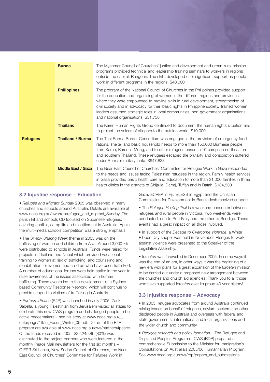|                 | <b>Burma</b>              | The Myanmar Council of Churches' justice and development and urban-rural mission<br>programs provided technical and leadership training seminars to workers in regions<br>outside the capital, Rangoon. The skills developed offer significant support as people<br>work in different programs in the regions. \$40,000                                                                                                                                                                   |
|-----------------|---------------------------|-------------------------------------------------------------------------------------------------------------------------------------------------------------------------------------------------------------------------------------------------------------------------------------------------------------------------------------------------------------------------------------------------------------------------------------------------------------------------------------------|
|                 | <b>Philippines</b>        | The program of the National Council of Churches in the Philippines provided support<br>for the education and organising of women in the different regions and provinces,<br>where they were empowered to provide skills in rural development, strengthening of<br>civil society and in advocacy for their basic rights in Philippine society. Trained women<br>leaders assumed strategic roles in local communities, non-government organisations<br>and national organisations. \$51,758 |
|                 | <b>Thailand</b>           | The Karen Human Rights Group continued to document the human rights situation and<br>to project the voices of villagers to the outside world. \$10,000                                                                                                                                                                                                                                                                                                                                    |
| <b>Refugees</b> | <b>Thailand / Burma</b>   | The Thai Burma Border Consortium was engaged in the provision of emergency food<br>rations, shelter and basic household needs to more than 150,000 Burmese people<br>from Karen, Karenni, Mong, and to other refugees based in 10 camps in northeastern<br>and southern Thailand. These refugees escaped the brutality and conscription suffered<br>under Burma's military junta. \$647,833                                                                                               |
|                 | <b>Middle East / Gaza</b> | The Near East Council of Churches' Committee for Refugee Work in Gaza responded<br>to the needs and issues facing Palestinian refugees in the region. Family health services<br>in Gaza provided basic health care and education to more than 21,000 families in three<br>health clinics in the districts of Shija-ia, Darraj, Tuffah and in Rafah. \$134,530                                                                                                                             |

#### **3.2 Injustice response – Education**

• *Refugee and Migrant Sunday* 2005 was observed in many churches and schools around Australia. Details are available at www.ncca.org.au/cws/rdp/refugee\_and\_migrant\_Sunday. The parish kit and schools CD focused on Sudanese refugees, covering conflict, camp life and resettlement in Australia. Again the multi-media schools competition was a strong emphasis.

• The *Simply Sharing Week* theme in 2005 was on the trafficking of women and children from Asia. Around 3,000 kits were distributed to schools in Australia. Funds were raised for projects in Thailand and Nepal which provided vocational training to women at risk of trafficking, and counseling and rehabilitation for women and children who have been trafficked. A number of educational forums were held earlier in the year to raise awareness of the issues associated with human trafficking. These events led to the development of a Sydneybased Community Response Network, which will continue to provide support to victims of trafficking in Australia.

• *Partners4Peace* (P4P) was launched in July 2005. Zack Sabella, a young Palestinian from Jerusalem visited all states to celebrate this new CWS program and challenged people to be active peacemakers – see his story at www.ncca.org.au/\_\_ data/page/19/In\_Focus\_Winter\_05.pdf. Details of the P4P program are available at www.ncca.org.au/cws/partners4peace. Of the funds received in 2005, \$22,245.86 (80%) was distributed to the project partners who were featured in the monthly Peace Mail newsletters for the first six months – OfERR Sri Lanka, New Sudan Council of Churches, the Near East Council of Churches' Committee for Refugee Work in

Gaza, ECREA in Fiji, BLESS in Egypt and the Christian Commission for Development in Bangladesh received support.

• The *Refugee Healing Trail* is a weekend encounter between refugees and rural people in Victoria. Two weekends were conducted, one to Port Fairy and the other to Bendigo. These events had a great impact on all those involved.

• In support of the *Decade to Overcome Violence*, a White Ribbon Day supper was held in November. Pledges to work against violence were presented to the Speaker of the Legislative Assembly.

• force*ten* was farewelled in December 2005. In some ways it was the end of an era, in other ways it was the beginning of a new era with plans for a great expansion of the force*ten* mission to be carried out under a proposed new arrangement between the churches and church aid agencies. Thank you to all those who have supported force*ten* over its proud 40 year history!

#### **3.3 Injustice response – Advocacy**

• In 2005, refugee advocates from around Australia continued raising issues on behalf of refugees, asylum seekers and other displaced people in Australia and overseas with federal and state governments, international and local organizations and the wider church and community.

• *Refugee research and policy formation* – The Refugee and Displaced Peoples Program of CWS (RDP) prepared a comprehensive Submission to the Minister for Immigration's Consultations on Australia's 2005/06 Humanitarian Program. See www.ncca.org.au/cws/rdp/papers\_and\_submissions.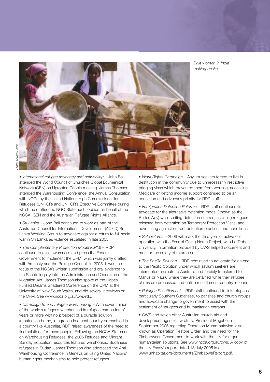• *International refugee advocacy and networking* – John Ball attended the World Council of Churches Global Ecumenical Network (GEN) on Uprooted People meeting. James Thomson attended the Warehousing Conference, the Annual Consultation with NGOs by the United Nations High Commissioner for Refugees (UNHCR) and UNHCR's Executive Committee during which he drafted the NGO Statement, lobbied on behalf of the NCCA, GEN and the Australian Refugee Rights Alliance.

• *Sri Lanka* – John Ball continued to work as part of the Australian Council for International Development (ACFID) Sri Lanka Working Group to advocate against a return to full-scale war in Sri Lanka as violence escalated in late 2005.

• *The Complementary Protection Model (CPM)* – RDP continued to raise awareness and press the Federal Government to implement the CPM, which was jointly drafted with Amnesty and the Refugee Council. In 2005, it was the focus of the NCCA's written submission and oral evidence to the Senate Inquiry into the Administration and Operation of the Migration Act. James Thomson also spoke at the Hopes Fulfilled Dreams Shattered Conference on the CPM at the University of New South Wales, and did several interviews on the CPM. See www.ncca.org.au/cws/rdp.

• *Campaign to end refugee warehousing* – With seven million of the world's refugees warehoused in refugee camps for 10 years or more with no prospect of a durable solution (repatriation home, integration in a host country or resettled in a country like Australia), RDP raised awareness of the need to find solutions for these people. Following the NCCA Statement on Warehousing Refugees, the 2005 Refugee and Migrant Sunday Education resources featured warehoused Sudanese refugees in Sudan. James Thomson also addressed the Anti-Warehousing Conference in Geneva on using United Nations' human rights mechanisms to help protect refugees.

• *Work Rights Campaign* – Asylum seekers forced to live in destitution in the community due to unnecessarily restrictive bridging visas which prevented them from working, accessing Medicare or getting income support continued to be an education and advocacy priority for RDP staff.

• *Immigration Detention Reforms* – RDP staff continued to advocate for the alternative detention model (known as the Better Way) while visiting detention centres, assisting refugees released from detention on Temporary Protection Visas, and advocating against current detention practices and conditions.

• *Safe returns* – 2006 will mark the third year of active cooperation with the Fear of Going Home Project, with La Trobe University. Information provided by CWS helped document and monitor the safety of returnees.

• *The Pacific Solution* – RDP continued to advocate for an end to the Pacific Solution under which asylum seekers are intercepted en route to Australia and forcibly transferred to Manus or Nauru where they are detained while their refugee claims are processed and until a resettlement country is found.

• *Refugee Resettlement* – RDP staff continued to link refugees, particularly Southern Sudanese, to parishes and church groups and advocate change to government to assist with the settlement of refugees and humanitarian entrants.

• CWS and seven other Australian church aid and development agencies wrote to President Mugabe in September 2005 regarding Operation Murambatsvina (also known as Operation Restore Order) and the need for the Zimbabwean Government to work with the UN for urgent humanitarian solutions. See www.ncca.org.au/cws. A copy of the UN Envoy's report dated 18 July 2005 is at www.unhabitat.org/documents/ZimbabweReport.pdf.



*Dalit women in India making bricks.*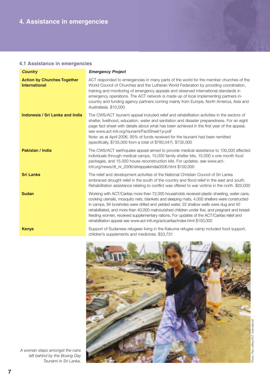# **4.1 Assistance in emergencies**

| <b>Country</b>                                             | <b>Emergency Project</b>                                                                                                                                                                                                                                                                                                                                                                                                                                                                                                                                          |
|------------------------------------------------------------|-------------------------------------------------------------------------------------------------------------------------------------------------------------------------------------------------------------------------------------------------------------------------------------------------------------------------------------------------------------------------------------------------------------------------------------------------------------------------------------------------------------------------------------------------------------------|
| <b>Action by Churches Together</b><br><b>International</b> | ACT responded to emergencies in many parts of the world for the member churches of the<br>World Council of Churches and the Lutheran World Federation by providing coordination,<br>training and monitoring of emergency appeals and observed international standards in<br>emergency operations. The ACT network is made up of local implementing partners in-<br>country and funding agency partners coming mainly from Europe, North America, Asia and<br>Australasia. \$10,000                                                                                |
| Indonesia / Sri Lanka and India                            | The CWS/ACT tsunami appeal included relief and rehabilitation activities in the sectors of<br>shelter, livelihood, education, water and sanitation and disaster preparedness. For an eight<br>page fact-sheet with details about what has been achieved in the first year of the appeal,<br>see www.act-intl.org/tsunami/FactSheet1yr.pdf<br>Note: as at April 2006, 95% of funds received for the tsunami had been remitted<br>(specifically, \$735,000 from a total of \$780,047). \$735,000                                                                    |
| Pakistan / India                                           | The CWS/ACT earthquake appeal aimed to provide medical assistance to 100,000 affected<br>individuals through medical camps, 15,000 family shelter kits, 15,000 x one month food<br>packages, and 15,000 house reconstruction kits. For updates, see www.act-<br>intl.org/news/dt_nr_2006/sitreppakindia0506.html \$100,000                                                                                                                                                                                                                                        |
| <b>Sri Lanka</b>                                           | The relief and development activities of the National Christian Council of Sri Lanka<br>embraced drought relief in the south of the country and flood relief in the east and south.<br>Rehabilitation assistance relating to conflict was offered to war victims in the north. \$20,000                                                                                                                                                                                                                                                                           |
| <b>Sudan</b>                                               | Working with ACT/Caritas more than 72,000 households received plastic sheeting, water cans,<br>cooking utensils, mosquito nets, blankets and sleeping mats, 4,000 shelters were constructed<br>in camps, 94 boreholes were drilled and yielded water, 22 shallow wells were dug and 40<br>rehabilitated, and more than 40,000 malnourished children under five, and pregnant and breast<br>feeding women, received supplementary rations. For updates of the ACT/Caritas relief and<br>rehabilitation appeal see www.act-intl.org/actcaritas/index.html \$150,000 |
| <b>Kenya</b>                                               | Support of Sudanese refugees living in the Kakuma refugee camp included food support,<br>children's supplements and medicines. \$33,731                                                                                                                                                                                                                                                                                                                                                                                                                           |



*A woman steps amongst the ruins left behind by the Boxing Day Tsunami in Sri Lanka.*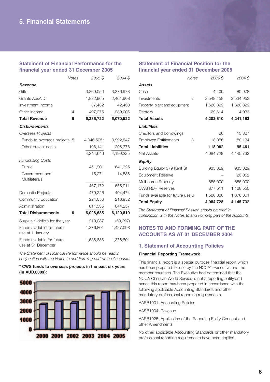#### **Statement of Financial Performance for the financial year ended 31 December 2005**

|                                                  | <b>Notes</b> | 2005\$     | 2004\$    |
|--------------------------------------------------|--------------|------------|-----------|
| <b>Revenue</b>                                   |              |            |           |
| Gifts                                            |              | 3,869,050  | 3,276,978 |
| <b>Grants AusAID</b>                             |              | 1,832,965  | 2,461,908 |
| Investment Income                                |              | 37,432     | 42,430    |
| Other Income                                     | 4            | 497,275    | 289,206   |
| <b>Total Revenue</b>                             | 6            | 6,236,722  | 6,070,522 |
| <b>Disbursements</b>                             |              |            |           |
| Overseas Projects                                |              |            |           |
| Funds to overseas projects 5                     |              | 4,046,505* | 3,992,847 |
| Other project costs                              |              | 198,141    | 206,378   |
|                                                  |              | 4,244,646  | 4,199,225 |
| <b>Fundraising Costs</b>                         |              |            |           |
| Public                                           |              | 451,901    | 641,325   |
| Government and                                   |              | 15,271     | 14,586    |
| Multilaterals                                    |              |            |           |
|                                                  |              | 467,172    | 655,911   |
| Domestic Projects                                |              | 479,226    | 404,474   |
| <b>Community Education</b>                       |              | 224,056    | 216,952   |
| Administration                                   |              | 611,535    | 644,257   |
| <b>Total Disbursements</b>                       | 6            | 6,026,635  | 6,120,819 |
| Surplus / (deficit) for the year                 |              | 210,087    | (50, 297) |
| Funds available for future                       |              | 1,376,801  | 1,427,098 |
| use at 1 January                                 |              |            |           |
| Funds available for future<br>use at 31 December |              | 1,586,888  | 1,376,801 |

*The Statement of Financial Performance should be read in conjunction with the Notes to and Forming part of the Accounts.*

#### **\* CWS funds to overseas projects in the past six years (in AUD,000s):**



### **Statement of Financial Position for the financial year ended 31 December 2005**

|                                  | <b>Notes</b>  | 2005\$    | 2004\$    |
|----------------------------------|---------------|-----------|-----------|
| Assets                           |               |           |           |
| Cash                             |               | 4,409     | 80,978    |
| Investments                      | $\mathcal{P}$ | 2,548,458 | 2,534,953 |
| Property, plant and equipment    |               | 1,620,329 | 1,620,329 |
| Debtors                          |               | 29,614    | 4,933     |
| <b>Total Assets</b>              |               | 4,202,810 | 4,241,193 |
| Liabilities                      |               |           |           |
| Creditors and borrowings         |               | 26        | 15,327    |
| <b>Employee Entitlements</b>     | З             | 118,056   | 80,134    |
| <b>Total Liabilities</b>         |               | 118,082   | 95,461    |
| <b>Net Assets</b>                |               | 4,084,728 | 4,145,732 |
| <b>Equity</b>                    |               |           |           |
| Building Equity 379 Kent St      |               | 935,329   | 935,329   |
| <b>Equipment Reserve</b>         |               |           | 20,052    |
| <b>Melbourne Property</b>        |               | 685,000   | 685,000   |
| <b>CWS RDP Reserves</b>          |               | 877,511   | 1,128,550 |
| Funds available for future use 6 |               | 1,586,888 | 1,376,801 |
| <b>Total Equity</b>              |               | 4,084,728 | 4,145,732 |

*The Statement of Financial Position should be read in conjunction with the Notes to and Forming part of the Accounts.* 

# **NOTES TO AND FORMING PART OF THE ACCOUNTS AS AT 31 DECEMBER 2004**

#### **1. Statement of Accounting Policies**

#### **Financial Reporting Framework**

This financial report is a special purpose financial report which has been prepared for use by the NCCA's Executive and the member churches. The Executive had determined that the NCCA Christian World Service is not a reporting entity and hence this report has been prepared in accordance with the following applicable Accounting Standards and other mandatory professional reporting requirements.

AASB1001: Accounting Policies

AASB1004: Revenue

AASB1025: Application of the Reporting Entity Concept and other Amendments

No other applicable Accounting Standards or other mandatory professional reporting requirements have been applied.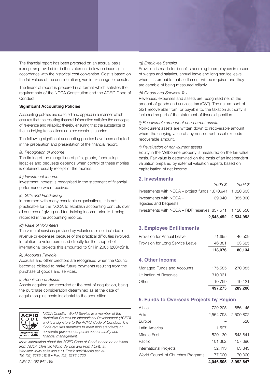The financial report has been prepared on an accrual basis (except as provided for in the statement below on income) in accordance with the historical cost convention. Cost is based on the fair values of the consideration given in exchange for assets.

The financial report is prepared in a format which satisfies the requirements of the NCCA Constitution and the ACFID Code of Conduct.

#### **Significant Accounting Policies**

Accounting policies are selected and applied in a manner which ensures that the resulting financial information satisfies the concepts of relevance and reliability, thereby ensuring that the substance of the underlying transactions or other events is reported.

The following significant accounting policies have been adopted in the preparation and presentation of the financial report:

#### *(a) Recognition of Income*

The timing of the recognition of gifts, grants, fundraising, legacies and bequests depends when control of these monies is obtained, usually receipt of the monies.

#### *(b) Investment Income*

Investment interest is recognised in the statement of financial performance when received.

#### *(c) Gifts and Fundraising*

In common with many charitable organisations, it is not practicable for the NCCA to establish accounting controls over all sources of giving and fundraising income prior to it being recorded in the accounting records.

#### *(d) Value of Volunteers*

The value of services provided by volunteers is not included in revenue or expenses because of the practical difficulties involved. In relation to volunteers used directly for the support of international projects this amounted to \$nil in 2005 (2004:\$nil).

#### *(e) Accounts Payable*

Accruals and other creditors are recognised when the Council becomes obliged to make future payments resulting from the purchase of goods and services.

#### *(f) Acquisition of Assets*

Assets acquired are recorded at the cost of acquisition, being the purchase consideration determined as at the date of acquisition plus costs incidental to the acquisition.



*NCCA Christian World Service is a member of the Australian Council for International Development (ACFID) and is a signatory to the ACFID Code of Conduct. The Code requires members to meet high standards of corporate governance, public accountability and financial management.*

*More information about the ACFID Code of Conduct can be obtained from NCCA Christian World Service and from ACFID at: Website: www.acfid.asn.au • Email: acfid@acfid.asn.au Tel: (02) 6285 1816 • Fax: (02) 6285 1720 ABN 64 493 941 795*

#### *(g) Employee Benefits*

Provision is made for benefits accruing to employees in respect of wages and salaries, annual leave and long service leave when it is probable that settlement will be required and they are capable of being measured reliably.

#### *(h) Goods and Services Tax*

Revenues, expenses and assets are recognised net of the amount of goods and services tax (GST). The net amount of GST recoverable from, or payable to, the taxation authority is included as part of the statement of financial position.

#### *(i) Recoverable amount of non-current assets*

Non-current assets are written down to recoverable amount where the carrying value of any non-current asset exceeds recoverable amount.

#### *(j) Revaluation of non-current assets*

Equity in the Melbourne property is measured on the fair value basis. Fair value is determined on the basis of an independent valuation prepared by external valuation experts based on capitalisation of net income.

#### **2. Investments**

| 2,548,452                                                   | 2,534,953 |
|-------------------------------------------------------------|-----------|
| Investments with NCCA – RDP reserves 837,571                | 1,128,550 |
| legacies and bequests                                       |           |
| Investments with NCCA -<br>39.940                           | 385,800   |
| Investments with NCCA – project funds $1,670,941$ 1,020,603 |           |
| 2005 \$                                                     | 2004 S    |

#### **3. Employee Entitlements**

|                                  | 497,275 | 289,206 |
|----------------------------------|---------|---------|
| Other                            | 10,759  | 19,121  |
| Utilisation of Reserves          | 310,931 |         |
| Managed Funds and Accounts       | 175,585 | 270,085 |
| <b>4. Other Income</b>           |         |         |
|                                  | 118,076 | 80,134  |
| Provision for Long Service Leave | 46,381  | 33,625  |
| Provision for Annual Leave       | 71,695  | 46,509  |

#### **5. Funds to Overseas Projects by Region**

| 4,046,505 | 3,992,847 |
|-----------|-----------|
| 77,000    | 70,000    |
| 52,413    | 63,843    |
| 101,362   | 157,696   |
| 520,130   | 543,841   |
| 1,597     |           |
|           | 520       |
| 2,564,798 | 2,500,802 |
| 729,205   | 656,145   |
|           |           |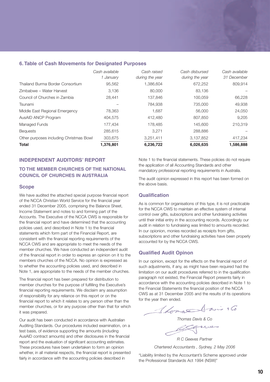#### **6. Table of Cash Movements for Designated Purposes**

|                                         | Cash available | Cash raised     | Cash disbursed  | Cash available |
|-----------------------------------------|----------------|-----------------|-----------------|----------------|
|                                         | 1 January      | during the year | during the year | 31 December    |
| Thailand Burma Border Consortium        | 95,562         | 1,386,604       | 672,252         | 809,914        |
| Zimbabwe – Water Harvest                | 3.136          | 80,000          | 83,136          |                |
| Council of Churches in Zambia           | 28,441         | 137,846         | 100,059         | 66,228         |
| Tsunami                                 |                | 784,938         | 735,000         | 49,938         |
| Middle East Regional Emergency          | 78.363         | 1.687           | 56,000          | 24,050         |
| AusAID ANCP Program                     | 404.575        | 412,480         | 807,850         | 9,205          |
| Managed Funds                           | 177,434        | 178,485         | 145,600         | 210,319        |
| <b>Bequests</b>                         | 285,615        | 3.271           | 288,886         |                |
| Other purposes including Christmas Bowl | 303,675        | 3,251,411       | 3,137,852       | 417,234        |
| <b>Total</b>                            | 1,376,801      | 6,236,722       | 6,026,635       | 1,586,888      |

#### **INDEPENDENT AUDITORS' REPORT**

#### **TO THE MEMBER CHURCHES OF THE NATIONAL COUNCIL OF CHURCHES IN AUSTRALIA**

#### **Scope**

We have audited the attached special purpose financial report of the NCCA Christian World Service for the financial year ended 31 December 2005, comprising the Balance Sheet, Income Statement and notes to and forming part of the Accounts. The Executive of the NCCA CWS is responsible for the financial report and have determined that the accounting policies used, and described in Note 1 to the financial statements which form part of the Financial Report, are consistent with the financial reporting requirements of the NCCA CWS and are appropriate to meet the needs of the member churches. We have conducted an independent audit of the financial report in order to express an opinion on it to the members churches of the NCCA. No opinion is expressed as to whether the accounting policies used, and described in Note 1, are appropriate to the needs of the member churches.

The financial report has been prepared for distribution to member churches for the purpose of fulfilling the Executive's financial reporting requirements. We disclaim any assumption of responsibility for any reliance on this report or on the financial report to which it relates to any person other than the member churches, or for any purpose other than that for which it was prepared.

Our audit has been conducted in accordance with Australian Auditing Standards. Our procedures included examination, on a test basis, of evidence supporting the amounts (including AusAID contract amounts) and other disclosures in the financial report and the evaluation of significant accounting estimates. These procedures have been undertaken to form an opinion whether, in all material respects, the financial report is presented fairly in accordance with the accounting policies described in

Note 1 to the financial statements. These policies do not require the application of all Accounting Standards and other mandatory professional reporting requirements in Australia.

The audit opinion expressed in this report has been formed on the above basis.

#### **Qualification**

As is common for organisations of this type, it is not practicable for the NCCA CWS to maintain an effective system of internal control over gifts, subscriptions and other fundraising activities until their initial entry in the accounting records. Accordingly our audit in relation to fundraising was limited to amounts recorded. In our opionion, monies recorded as receipts from gifts, subscriptions and other fundraising activities have been properly accounted for by the NCCA CWS.

#### **Qualified Audit Opinon**

In our opinion, except for the effects on the financial report of such adjustments, if any, as might have been required had the limitation on our audit procedures referred to in the qualification paragraph not existed, the Financial Report presents fairly in accordance with the accounting policies described in Note 1 to the Financial Statements the financial position of the NCCA CWS as at 31 December 2005 and the results of its operations for the year then ended.

Thomas Davis & Co

*Thomas Davis & Co* 

طاري طاقة

*R C Geeves Partner* 

*Chartered Accountants , Sydney, 2 May 2006* 

"Liability limited by the Accountant's Scheme approved under the Professional Standards Act 1994 (NSW)"